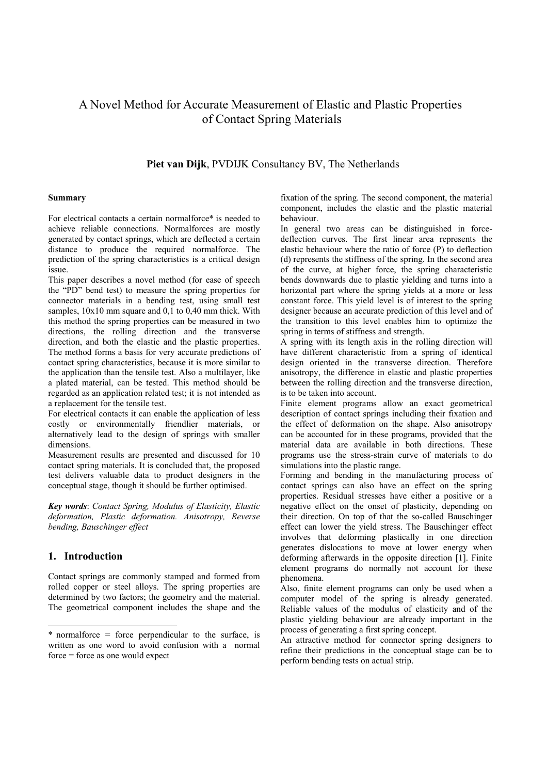# A Novel Method for Accurate Measurement of Elastic and Plastic Properties of Contact Spring Materials

**Piet van Dijk**, PVDIJK Consultancy BV, The Netherlands

#### **Summary**

For electrical contacts a certain normalforce\* is needed to achieve reliable connections. Normalforces are mostly generated by contact springs, which are deflected a certain distance to produce the required normalforce. The prediction of the spring characteristics is a critical design issue.

This paper describes a novel method (for ease of speech the "PD" bend test) to measure the spring properties for connector materials in a bending test, using small test samples, 10x10 mm square and 0,1 to 0,40 mm thick. With this method the spring properties can be measured in two directions, the rolling direction and the transverse direction, and both the elastic and the plastic properties. The method forms a basis for very accurate predictions of contact spring characteristics, because it is more similar to the application than the tensile test. Also a multilayer, like a plated material, can be tested. This method should be regarded as an application related test; it is not intended as a replacement for the tensile test.

For electrical contacts it can enable the application of less costly or environmentally friendlier materials, or alternatively lead to the design of springs with smaller dimensions.

Measurement results are presented and discussed for 10 contact spring materials. It is concluded that, the proposed test delivers valuable data to product designers in the conceptual stage, though it should be further optimised.

*Key words*: *Contact Spring, Modulus of Elasticity, Elastic deformation, Plastic deformation. Anisotropy, Reverse bending, Bauschinger effect* 

# **1. Introduction**

l

Contact springs are commonly stamped and formed from rolled copper or steel alloys. The spring properties are determined by two factors; the geometry and the material. The geometrical component includes the shape and the fixation of the spring. The second component, the material component, includes the elastic and the plastic material behaviour.

In general two areas can be distinguished in forcedeflection curves. The first linear area represents the elastic behaviour where the ratio of force (P) to deflection (d) represents the stiffness of the spring. In the second area of the curve, at higher force, the spring characteristic bends downwards due to plastic yielding and turns into a horizontal part where the spring yields at a more or less constant force. This yield level is of interest to the spring designer because an accurate prediction of this level and of the transition to this level enables him to optimize the spring in terms of stiffness and strength.

A spring with its length axis in the rolling direction will have different characteristic from a spring of identical design oriented in the transverse direction. Therefore anisotropy, the difference in elastic and plastic properties between the rolling direction and the transverse direction, is to be taken into account.

Finite element programs allow an exact geometrical description of contact springs including their fixation and the effect of deformation on the shape. Also anisotropy can be accounted for in these programs, provided that the material data are available in both directions. These programs use the stress-strain curve of materials to do simulations into the plastic range.

Forming and bending in the manufacturing process of contact springs can also have an effect on the spring properties. Residual stresses have either a positive or a negative effect on the onset of plasticity, depending on their direction. On top of that the so-called Bauschinger effect can lower the yield stress. The Bauschinger effect involves that deforming plastically in one direction generates dislocations to move at lower energy when deforming afterwards in the opposite direction [1]. Finite element programs do normally not account for these phenomena.

Also, finite element programs can only be used when a computer model of the spring is already generated. Reliable values of the modulus of elasticity and of the plastic yielding behaviour are already important in the process of generating a first spring concept.

An attractive method for connector spring designers to refine their predictions in the conceptual stage can be to perform bending tests on actual strip.

<sup>\*</sup> normalforce = force perpendicular to the surface, is written as one word to avoid confusion with a normal force = force as one would expect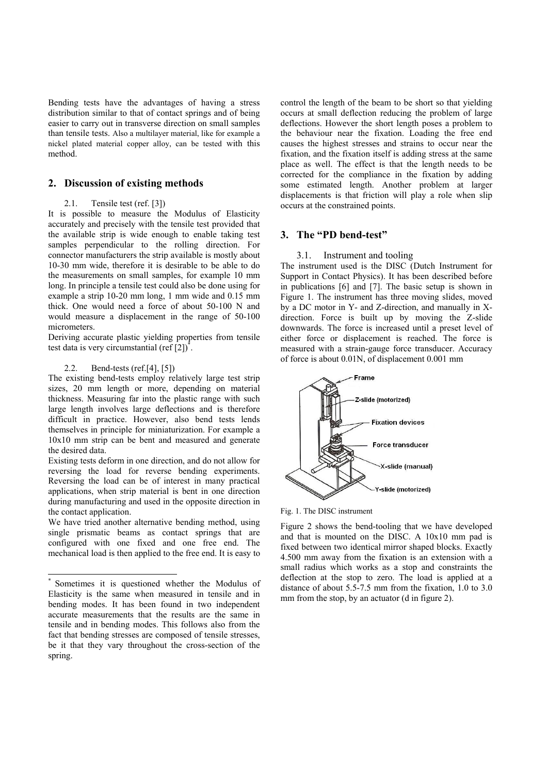Bending tests have the advantages of having a stress distribution similar to that of contact springs and of being easier to carry out in transverse direction on small samples than tensile tests. Also a multilayer material, like for example a nickel plated material copper alloy, can be tested with this method.

# **2. Discussion of existing methods**

## 2.1. Tensile test (ref. [3])

It is possible to measure the Modulus of Elasticity accurately and precisely with the tensile test provided that the available strip is wide enough to enable taking test samples perpendicular to the rolling direction. For connector manufacturers the strip available is mostly about 10-30 mm wide, therefore it is desirable to be able to do the measurements on small samples, for example 10 mm long. In principle a tensile test could also be done using for example a strip 10-20 mm long, 1 mm wide and 0.15 mm thick. One would need a force of about 50-100 N and would measure a displacement in the range of 50-100 micrometers.

Deriving accurate plastic yielding properties from tensile test data is very circumstantial (ref $\overline{[2]}$ )<sup>\*</sup>.

## 2.2. Bend-tests (ref.[4], [5])

l

The existing bend-tests employ relatively large test strip sizes, 20 mm length or more, depending on material thickness. Measuring far into the plastic range with such large length involves large deflections and is therefore difficult in practice. However, also bend tests lends themselves in principle for miniaturization. For example a 10x10 mm strip can be bent and measured and generate the desired data.

Existing tests deform in one direction, and do not allow for reversing the load for reverse bending experiments. Reversing the load can be of interest in many practical applications, when strip material is bent in one direction during manufacturing and used in the opposite direction in the contact application.

We have tried another alternative bending method, using single prismatic beams as contact springs that are configured with one fixed and one free end. The mechanical load is then applied to the free end. It is easy to control the length of the beam to be short so that yielding occurs at small deflection reducing the problem of large deflections. However the short length poses a problem to the behaviour near the fixation. Loading the free end causes the highest stresses and strains to occur near the fixation, and the fixation itself is adding stress at the same place as well. The effect is that the length needs to be corrected for the compliance in the fixation by adding some estimated length. Another problem at larger displacements is that friction will play a role when slip occurs at the constrained points.

## **3. The "PD bend-test"**

#### 3.1. Instrument and tooling

The instrument used is the DISC (Dutch Instrument for Support in Contact Physics). It has been described before in publications [6] and [7]. The basic setup is shown in Figure 1. The instrument has three moving slides, moved by a DC motor in Y- and Z-direction, and manually in Xdirection. Force is built up by moving the Z-slide downwards. The force is increased until a preset level of either force or displacement is reached. The force is measured with a strain-gauge force transducer. Accuracy of force is about 0.01N, of displacement 0.001 mm



Fig. 1. The DISC instrument

Figure 2 shows the bend-tooling that we have developed and that is mounted on the DISC. A 10x10 mm pad is fixed between two identical mirror shaped blocks. Exactly 4.500 mm away from the fixation is an extension with a small radius which works as a stop and constraints the deflection at the stop to zero. The load is applied at a distance of about  $5.5-7.5$  mm from the fixation, 1.0 to 3.0 mm from the stop, by an actuator (d in figure 2).

Sometimes it is questioned whether the Modulus of Elasticity is the same when measured in tensile and in bending modes. It has been found in two independent accurate measurements that the results are the same in tensile and in bending modes. This follows also from the fact that bending stresses are composed of tensile stresses, be it that they vary throughout the cross-section of the spring.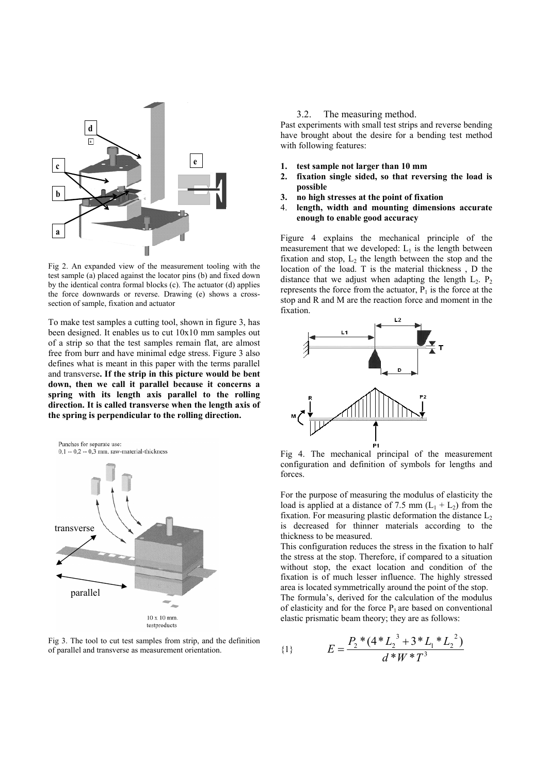

Fig 2. An expanded view of the measurement tooling with the test sample (a) placed against the locator pins (b) and fixed down by the identical contra formal blocks (c). The actuator (d) applies the force downwards or reverse. Drawing (e) shows a crosssection of sample, fixation and actuator

To make test samples a cutting tool, shown in figure 3, has been designed. It enables us to cut 10x10 mm samples out of a strip so that the test samples remain flat, are almost free from burr and have minimal edge stress. Figure 3 also defines what is meant in this paper with the terms parallel and transverse**. If the strip in this picture would be bent down, then we call it parallel because it concerns a spring with its length axis parallel to the rolling direction. It is called transverse when the length axis of the spring is perpendicular to the rolling direction.** 



Fig 3. The tool to cut test samples from strip, and the definition of parallel and transverse as measurement orientation.

## 3.2. The measuring method.

Past experiments with small test strips and reverse bending have brought about the desire for a bending test method with following features:

- **1. test sample not larger than 10 mm**
- **2. fixation single sided, so that reversing the load is possible**
- **3. no high stresses at the point of fixation**
- 4. **length, width and mounting dimensions accurate enough to enable good accuracy**

Figure 4 explains the mechanical principle of the measurement that we developed:  $L_1$  is the length between fixation and stop,  $L_2$  the length between the stop and the location of the load. T is the material thickness , D the distance that we adjust when adapting the length  $L_2$ .  $P_2$ represents the force from the actuator,  $P_1$  is the force at the stop and R and M are the reaction force and moment in the fixation.



Fig 4. The mechanical principal of the measurement configuration and definition of symbols for lengths and forces.

For the purpose of measuring the modulus of elasticity the load is applied at a distance of 7.5 mm  $(L_1 + L_2)$  from the fixation. For measuring plastic deformation the distance  $L_2$ is decreased for thinner materials according to the thickness to be measured.

This configuration reduces the stress in the fixation to half the stress at the stop. Therefore, if compared to a situation without stop, the exact location and condition of the fixation is of much lesser influence. The highly stressed area is located symmetrically around the point of the stop.

The formula's, derived for the calculation of the modulus of elasticity and for the force  $P_1$  are based on conventional elastic prismatic beam theory; they are as follows:

1} 
$$
E = \frac{P_2 * (4 * L_2^3 + 3 * L_1 * L_2^2)}{d * W * T^3}
$$

{1}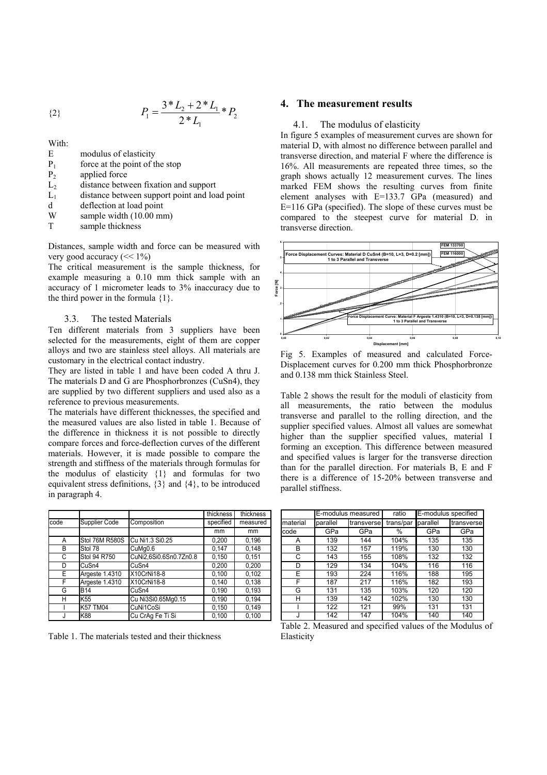$$
P_1 = \frac{3 * L_2 + 2 * L_1}{2 * L_1} * P_2
$$

With:

| -E             | modulus of elasticity          |
|----------------|--------------------------------|
| $P_1$          | force at the point of the stop |
| P <sub>2</sub> | applied force                  |
|                | distance between Continuou d   |

- $L_2$  distance between fixation and support
- $L_1$  distance between support point and load point
- d deflection at load point
- W sample width (10.00 mm)
- T sample thickness

Distances, sample width and force can be measured with very good accuracy  $(\ll 1\%)$ 

The critical measurement is the sample thickness, for example measuring a 0.10 mm thick sample with an accuracy of 1 micrometer leads to 3% inaccuracy due to the third power in the formula {1}.

## 3.3. The tested Materials

Ten different materials from 3 suppliers have been selected for the measurements, eight of them are copper alloys and two are stainless steel alloys. All materials are customary in the electrical contact industry.

They are listed in table 1 and have been coded A thru J. The materials D and G are Phosphorbronzes (CuSn4), they are supplied by two different suppliers and used also as a reference to previous measurements.

The materials have different thicknesses, the specified and the measured values are also listed in table 1. Because of the difference in thickness it is not possible to directly compare forces and force-deflection curves of the different materials. However, it is made possible to compare the strength and stiffness of the materials through formulas for the modulus of elasticity {1} and formulas for two equivalent stress definitions, {3} and {4}, to be introduced in paragraph 4.

|      |                 |                        | thickness | thickness |
|------|-----------------|------------------------|-----------|-----------|
| code | Supplier Code   | Composition            | specified | measured  |
|      |                 |                        | mm        | mm        |
| A    | Stol 76M R580S  | Cu Ni1.3 Si0.25        | 0.200     | 0,196     |
| B    | Stol 78         | CuMq0.6                | 0,147     | 0,148     |
| C    | Stol 94 R750    | CuNi2,6Si0.6Sn0.7Zn0.8 | 0,150     | 0,151     |
| D    | CuSn4           | CuSn4                  | 0,200     | 0.200     |
| E    | Argeste 1.4310  | X10CrNi18-8            | 0,100     | 0,102     |
| F    | Argeste 1.4310  | X10CrNi18-8            | 0,140     | 0,138     |
| G    | <b>B14</b>      | CuSn4                  | 0,190     | 0,193     |
| Н    | K55             | Cu Ni3Si0.65Mq0.15     | 0,190     | 0,194     |
|      | <b>K57 TM04</b> | CuNi1CoSi              | 0,150     | 0,149     |
|      | K88             | Cu CrAg Fe Ti Si       | 0,100     | 0.100     |

Table 1. The materials tested and their thickness

# **4. The measurement results**

### 4.1. The modulus of elasticity

In figure 5 examples of measurement curves are shown for material D, with almost no difference between parallel and transverse direction, and material F where the difference is 16%. All measurements are repeated three times, so the graph shows actually 12 measurement curves. The lines marked FEM shows the resulting curves from finite element analyses with E=133.7 GPa (measured) and E=116 GPa (specified). The slope of these curves must be compared to the steepest curve for material D. in transverse direction.



Fig 5. Examples of measured and calculated Force-Displacement curves for 0.200 mm thick Phosphorbronze and 0.138 mm thick Stainless Steel.

Table 2 shows the result for the moduli of elasticity from all measurements, the ratio between the modulus transverse and parallel to the rolling direction, and the supplier specified values. Almost all values are somewhat higher than the supplier specified values, material I forming an exception. This difference between measured and specified values is larger for the transverse direction than for the parallel direction. For materials B, E and F there is a difference of 15-20% between transverse and parallel stiffness.

|          |            | E-modulus measured | ratio     | E-modulus specified |            |  |
|----------|------------|--------------------|-----------|---------------------|------------|--|
| material | parallel   | transverse         | trans/par | parallel            | transverse |  |
| code     | GPa<br>GPa |                    | %         | GPa                 | GPa        |  |
| Α        | 139        | 144                | 104%      | 135                 | 135        |  |
| в        | 132        | 157                | 119%      | 130                 | 130        |  |
| C        | 143        | 155                | 108%      | 132                 | 132        |  |
| D        | 129        | 134                | 104%      | 116                 | 116        |  |
| E        | 193        | 224                | 116%      | 188                 | 195        |  |
| F        | 187        | 217                | 116%      | 182                 | 193        |  |
| G        | 131        | 135                | 103%      | 120                 | 120        |  |
| н        | 139        | 142                | 102%      | 130                 | 130        |  |
|          | 122        | 121                | 99%       | 131                 | 131        |  |
|          | 142        | 147                | 104%      | 140                 | 140        |  |

Table 2. Measured and specified values of the Modulus of Elasticity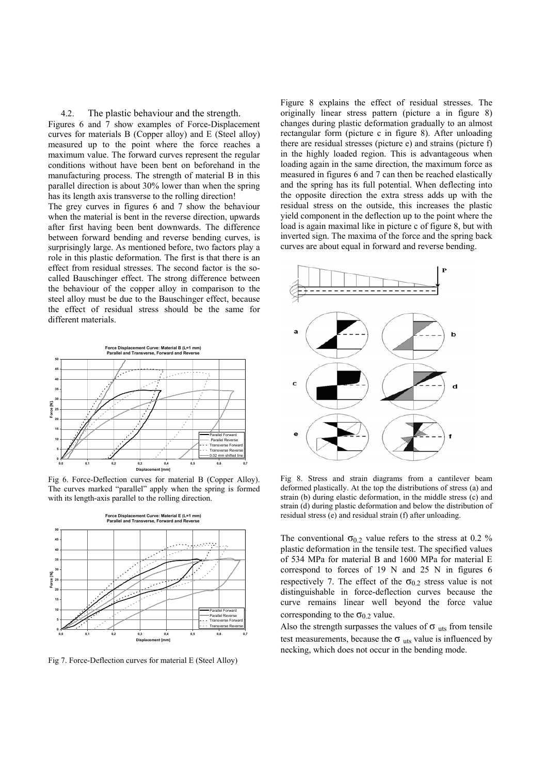4.2. The plastic behaviour and the strength. Figures 6 and 7 show examples of Force-Displacement curves for materials B (Copper alloy) and E (Steel alloy) measured up to the point where the force reaches a maximum value. The forward curves represent the regular conditions without have been bent on beforehand in the manufacturing process. The strength of material B in this parallel direction is about 30% lower than when the spring has its length axis transverse to the rolling direction!

The grey curves in figures 6 and 7 show the behaviour when the material is bent in the reverse direction, upwards after first having been bent downwards. The difference between forward bending and reverse bending curves, is surprisingly large. As mentioned before, two factors play a role in this plastic deformation. The first is that there is an effect from residual stresses. The second factor is the socalled Bauschinger effect. The strong difference between the behaviour of the copper alloy in comparison to the steel alloy must be due to the Bauschinger effect, because the effect of residual stress should be the same for different materials.



Fig 6. Force-Deflection curves for material B (Copper Alloy). The curves marked "parallel" apply when the spring is formed with its length-axis parallel to the rolling direction.



Fig 7. Force-Deflection curves for material E (Steel Alloy)

Figure 8 explains the effect of residual stresses. The originally linear stress pattern (picture a in figure 8) changes during plastic deformation gradually to an almost rectangular form (picture c in figure 8). After unloading there are residual stresses (picture e) and strains (picture f) in the highly loaded region. This is advantageous when loading again in the same direction, the maximum force as measured in figures 6 and 7 can then be reached elastically and the spring has its full potential. When deflecting into the opposite direction the extra stress adds up with the residual stress on the outside, this increases the plastic yield component in the deflection up to the point where the load is again maximal like in picture c of figure 8, but with inverted sign. The maxima of the force and the spring back curves are about equal in forward and reverse bending.



Fig 8. Stress and strain diagrams from a cantilever beam deformed plastically. At the top the distributions of stress (a) and strain (b) during elastic deformation, in the middle stress (c) and strain (d) during plastic deformation and below the distribution of residual stress (e) and residual strain (f) after unloading.

The conventional  $\sigma_{0.2}$  value refers to the stress at 0.2 % plastic deformation in the tensile test. The specified values of 534 MPa for material B and 1600 MPa for material E correspond to forces of 19 N and 25 N in figures 6 respectively 7. The effect of the  $\sigma_{0.2}$  stress value is not distinguishable in force-deflection curves because the curve remains linear well beyond the force value corresponding to the  $\sigma_{0.2}$  value.

Also the strength surpasses the values of  $\sigma$  uts from tensile test measurements, because the  $\sigma$  uts value is influenced by necking, which does not occur in the bending mode.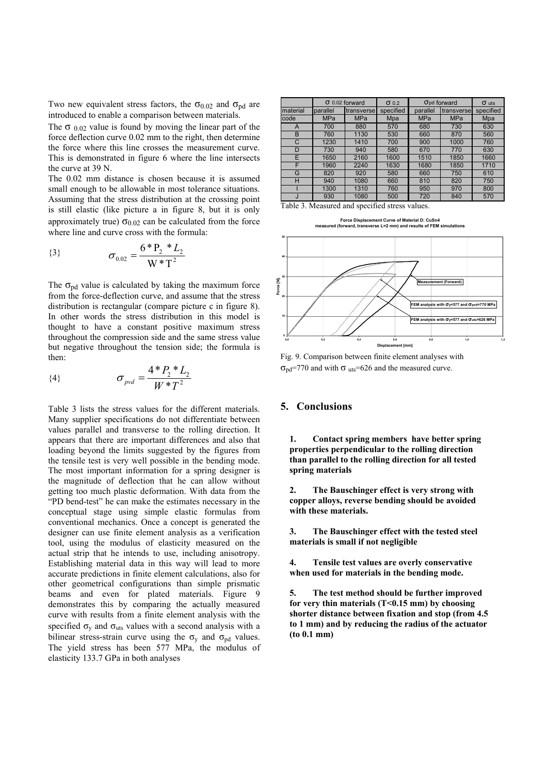Two new equivalent stress factors, the  $\sigma_{0.02}$  and  $\sigma_{pd}$  are introduced to enable a comparison between materials.

The  $\sigma_{0.02}$  value is found by moving the linear part of the force deflection curve 0.02 mm to the right, then determine the force where this line crosses the measurement curve. This is demonstrated in figure 6 where the line intersects the curve at 39 N.

The 0.02 mm distance is chosen because it is assumed small enough to be allowable in most tolerance situations. Assuming that the stress distribution at the crossing point is still elastic (like picture a in figure 8, but it is only approximately true)  $\sigma_{0.02}$  can be calculated from the force where line and curve cross with the formula:

(3) 
$$
\sigma_{0.02} = \frac{6 * P_2 * L_2}{W * T^2}
$$

The  $\sigma_{pd}$  value is calculated by taking the maximum force from the force-deflection curve, and assume that the stress distribution is rectangular (compare picture c in figure 8). In other words the stress distribution in this model is thought to have a constant positive maximum stress throughout the compression side and the same stress value but negative throughout the tension side; the formula is then:

$$
\{\text{4}\}\qquad \qquad \sigma_{\text{pvd}} = \frac{4 \cdot P_2 \cdot L_2}{W \cdot T^2}
$$

Table 3 lists the stress values for the different materials. Many supplier specifications do not differentiate between values parallel and transverse to the rolling direction. It appears that there are important differences and also that loading beyond the limits suggested by the figures from the tensile test is very well possible in the bending mode. The most important information for a spring designer is the magnitude of deflection that he can allow without getting too much plastic deformation. With data from the "PD bend-test" he can make the estimates necessary in the conceptual stage using simple elastic formulas from conventional mechanics. Once a concept is generated the designer can use finite element analysis as a verification tool, using the modulus of elasticity measured on the actual strip that he intends to use, including anisotropy. Establishing material data in this way will lead to more accurate predictions in finite element calculations, also for other geometrical configurations than simple prismatic beams and even for plated materials. Figure 9 demonstrates this by comparing the actually measured curve with results from a finite element analysis with the specified  $\sigma_{v}$  and  $\sigma_{uts}$  values with a second analysis with a bilinear stress-strain curve using the  $\sigma_y$  and  $\sigma_{pd}$  values. The yield stress has been 577 MPa, the modulus of elasticity 133.7 GPa in both analyses

|          | $\sigma$ 0.02 forward |            | $\sigma$ 0.2 | Opd forward |            | $\sigma$ uts |
|----------|-----------------------|------------|--------------|-------------|------------|--------------|
| material | parallel              | transverse | specified    | parallel    | transverse | specified    |
| code     | <b>MPa</b>            | <b>MPa</b> | Mpa          | <b>MPa</b>  | <b>MPa</b> | Mpa          |
| A        | 700                   | 880        | 570          | 680         | 730        | 630          |
| B        | 760                   | 1130       | 530          | 660         | 870        | 560          |
| C        | 1230                  | 1410       | 700          | 900         | 1000       | 760          |
| D        | 730                   | 940        | 580          | 670         | 770        | 630          |
| E        | 1650                  | 2160       | 1600         | 1510        | 1850       | 1660         |
| F        | 1960                  | 2240       | 1630         | 1680        | 1850       | 1710         |
| G        | 820                   | 920        | 580          | 660         | 750        | 610          |
| H        | 940                   | 1080       | 660          | 810         | 820        | 750          |
|          | 1300                  | 1310       | 760          | 950         | 970        | 800          |
|          | 930                   | 1080       | 500          | 720         | 840        | 570          |

Table 3. Measured and specified stress values.

**Force Displacement Curve of Material D: CuSn4 measured (forward, transverse L=2 mm) and results of FEM simulations**



Fig. 9. Comparison between finite element analyses with  $\sigma_{\text{pd}}$ =770 and with  $\sigma_{\text{uts}}$ =626 and the measured curve.

## **5. Conclusions**

**1. Contact spring members have better spring properties perpendicular to the rolling direction than parallel to the rolling direction for all tested spring materials** 

**2. The Bauschinger effect is very strong with copper alloys, reverse bending should be avoided with these materials.** 

**3. The Bauschinger effect with the tested steel materials is small if not negligible** 

**4. Tensile test values are overly conservative when used for materials in the bending mode.** 

**5. The test method should be further improved for very thin materials (T<0.15 mm) by choosing shorter distance between fixation and stop (from 4.5 to 1 mm) and by reducing the radius of the actuator (to 0.1 mm)**